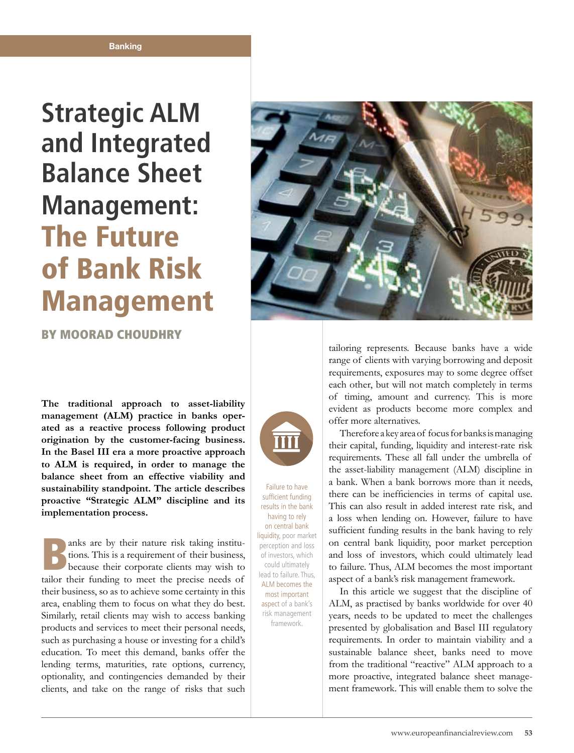# **Strategic ALM and Integrated Balance Sheet Management:** The Future of Bank Risk Management

BY MOORAD CHOUDHRY

**The traditional approach to asset-liability management (ALM) practice in banks operated as a reactive process following product origination by the customer-facing business. In the Basel III era a more proactive approach to ALM is required, in order to manage the balance sheet from an effective viability and sustainability standpoint. The article describes proactive "Strategic ALM" discipline and its implementation process.**

anks are by their nature risk taking institutions. This is a requirement of their business, because their corporate clients may wish to tailor their funding to meet the precise needs of their business, so as to achieve some certainty in this area, enabling them to focus on what they do best. Similarly, retail clients may wish to access banking products and services to meet their personal needs, such as purchasing a house or investing for a child's education. To meet this demand, banks offer the lending terms, maturities, rate options, currency, optionality, and contingencies demanded by their clients, and take on the range of risks that such



Failure to have sufficient funding results in the bank having to rely on central bank liquidity, poor market perception and loss of investors, which could ultimately lead to failure. Thus, ALM becomes the most important aspect of a bank's risk management framework.



tailoring represents. Because banks have a wide range of clients with varying borrowing and deposit requirements, exposures may to some degree offset each other, but will not match completely in terms of timing, amount and currency. This is more evident as products become more complex and offer more alternatives.

Therefore a key area of focus for banks is managing their capital, funding, liquidity and interest-rate risk requirements. These all fall under the umbrella of the asset-liability management (ALM) discipline in a bank. When a bank borrows more than it needs, there can be inefficiencies in terms of capital use. This can also result in added interest rate risk, and a loss when lending on. However, failure to have sufficient funding results in the bank having to rely on central bank liquidity, poor market perception and loss of investors, which could ultimately lead to failure. Thus, ALM becomes the most important aspect of a bank's risk management framework.

In this article we suggest that the discipline of ALM, as practised by banks worldwide for over 40 years, needs to be updated to meet the challenges presented by globalisation and Basel III regulatory requirements. In order to maintain viability and a sustainable balance sheet, banks need to move from the traditional "reactive" ALM approach to a more proactive, integrated balance sheet management framework. This will enable them to solve the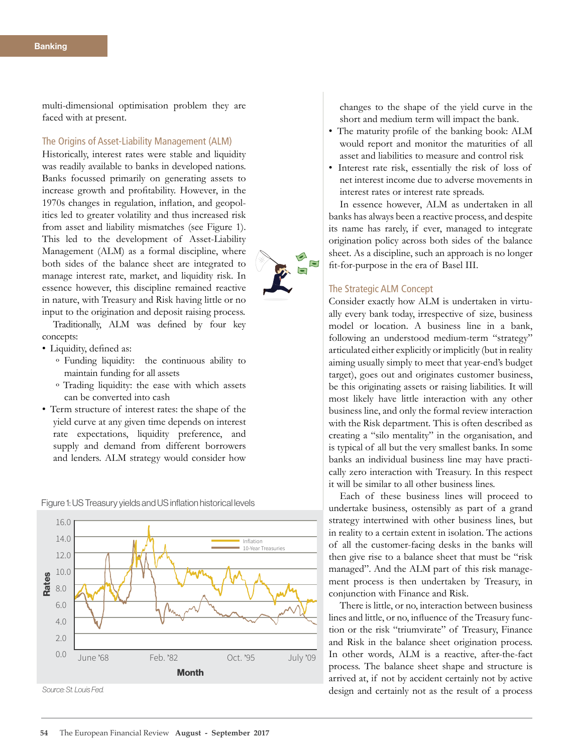multi-dimensional optimisation problem they are faced with at present.

### The Origins of Asset-Liability Management (ALM)

Historically, interest rates were stable and liquidity was readily available to banks in developed nations. Banks focussed primarily on generating assets to increase growth and profitability. However, in the 1970s changes in regulation, inflation, and geopolitics led to greater volatility and thus increased risk from asset and liability mismatches (see Figure 1). This led to the development of Asset-Liability Management (ALM) as a formal discipline, where both sides of the balance sheet are integrated to manage interest rate, market, and liquidity risk. In essence however, this discipline remained reactive in nature, with Treasury and Risk having little or no input to the origination and deposit raising process.

Traditionally, ALM was defined by four key concepts:

- Liquidity, defined as:
	- º Funding liquidity: the continuous ability to maintain funding for all assets
	- º Trading liquidity: the ease with which assets can be converted into cash
- Term structure of interest rates: the shape of the yield curve at any given time depends on interest rate expectations, liquidity preference, and supply and demand from different borrowers and lenders. ALM strategy would consider how



Figure 1: US Treasury yields and US inflation historical levels

*Source: St. Louis Fed.*

changes to the shape of the yield curve in the short and medium term will impact the bank.

- The maturity profile of the banking book: ALM would report and monitor the maturities of all asset and liabilities to measure and control risk
- Interest rate risk, essentially the risk of loss of net interest income due to adverse movements in interest rates or interest rate spreads.

In essence however, ALM as undertaken in all banks has always been a reactive process, and despite its name has rarely, if ever, managed to integrate origination policy across both sides of the balance sheet. As a discipline, such an approach is no longer fit-for-purpose in the era of Basel III.

# The Strategic ALM Concept

Consider exactly how ALM is undertaken in virtually every bank today, irrespective of size, business model or location. A business line in a bank, following an understood medium-term "strategy" articulated either explicitly or implicitly (but in reality aiming usually simply to meet that year-end's budget target), goes out and originates customer business, be this originating assets or raising liabilities. It will most likely have little interaction with any other business line, and only the formal review interaction with the Risk department. This is often described as creating a "silo mentality" in the organisation, and is typical of all but the very smallest banks. In some banks an individual business line may have practically zero interaction with Treasury. In this respect it will be similar to all other business lines.

Each of these business lines will proceed to undertake business, ostensibly as part of a grand strategy intertwined with other business lines, but in reality to a certain extent in isolation. The actions of all the customer-facing desks in the banks will then give rise to a balance sheet that must be "risk managed". And the ALM part of this risk management process is then undertaken by Treasury, in conjunction with Finance and Risk.

There is little, or no, interaction between business lines and little, or no, influence of the Treasury function or the risk "triumvirate" of Treasury, Finance and Risk in the balance sheet origination process. In other words, ALM is a reactive, after-the-fact process. The balance sheet shape and structure is arrived at, if not by accident certainly not by active design and certainly not as the result of a process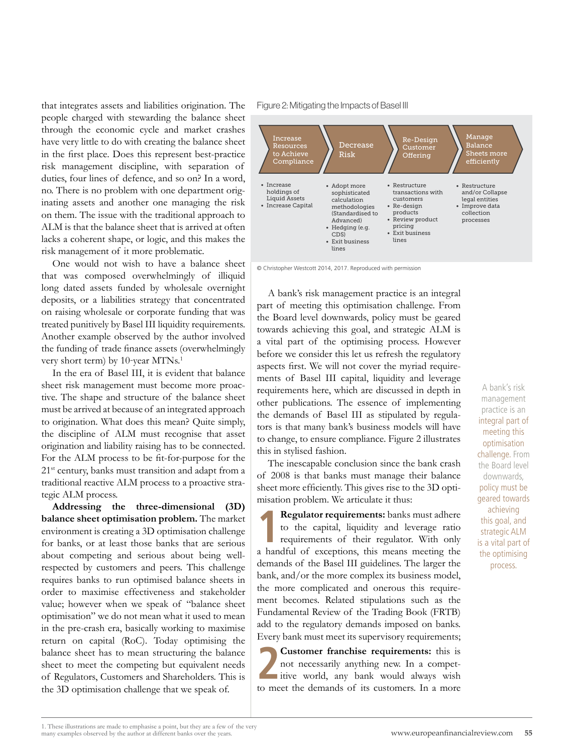that integrates assets and liabilities origination. The people charged with stewarding the balance sheet through the economic cycle and market crashes have very little to do with creating the balance sheet in the first place. Does this represent best-practice risk management discipline, with separation of duties, four lines of defence, and so on? In a word, no. There is no problem with one department originating assets and another one managing the risk on them. The issue with the traditional approach to ALM is that the balance sheet that is arrived at often lacks a coherent shape, or logic, and this makes the risk management of it more problematic.

One would not wish to have a balance sheet that was composed overwhelmingly of illiquid long dated assets funded by wholesale overnight deposits, or a liabilities strategy that concentrated on raising wholesale or corporate funding that was treated punitively by Basel III liquidity requirements. Another example observed by the author involved the funding of trade finance assets (overwhelmingly very short term) by 10-year MTNs.<sup>1</sup>

In the era of Basel III, it is evident that balance sheet risk management must become more proactive. The shape and structure of the balance sheet must be arrived at because of an integrated approach to origination. What does this mean? Quite simply, the discipline of ALM must recognise that asset origination and liability raising has to be connected. For the ALM process to be fit-for-purpose for the 21<sup>st</sup> century, banks must transition and adapt from a traditional reactive ALM process to a proactive strategic ALM process.

**Addressing the three-dimensional (3D) balance sheet optimisation problem.** The market environment is creating a 3D optimisation challenge for banks, or at least those banks that are serious about competing and serious about being wellrespected by customers and peers. This challenge requires banks to run optimised balance sheets in order to maximise effectiveness and stakeholder value; however when we speak of "balance sheet optimisation" we do not mean what it used to mean in the pre-crash era, basically working to maximise return on capital (RoC). Today optimising the balance sheet has to mean structuring the balance sheet to meet the competing but equivalent needs of Regulators, Customers and Shareholders. This is the 3D optimisation challenge that we speak of.

Figure 2: Mitigating the Impacts of Basel III



© Christopher Westcott 2014, 2017. Reproduced with permission

A bank's risk management practice is an integral part of meeting this optimisation challenge. From the Board level downwards, policy must be geared towards achieving this goal, and strategic ALM is a vital part of the optimising process. However before we consider this let us refresh the regulatory aspects first. We will not cover the myriad requirements of Basel III capital, liquidity and leverage requirements here, which are discussed in depth in other publications. The essence of implementing the demands of Basel III as stipulated by regulators is that many bank's business models will have to change, to ensure compliance. Figure 2 illustrates this in stylised fashion.

The inescapable conclusion since the bank crash of 2008 is that banks must manage their balance sheet more efficiently. This gives rise to the 3D optimisation problem. We articulate it thus:

**1 Regulator requirements:** banks must adhere to the capital, liquidity and leverage ratio requirements of their regulator. With only a handful of exceptions, this means meeting the **Regulator requirements:** banks must adhere to the capital, liquidity and leverage ratio requirements of their regulator. With only demands of the Basel III guidelines. The larger the bank, and/or the more complex its business model, the more complicated and onerous this requirement becomes. Related stipulations such as the Fundamental Review of the Trading Book (FRTB) add to the regulatory demands imposed on banks. Every bank must meet its supervisory requirements;

**2** Customer franchise requirements: this is not necessarily anything new. In a competitive world, any bank would always wish to meet the demands of its customers. In a more **Customer franchise requirements:** this is not necessarily anything new. In a competitive world, any bank would always wish

A bank's risk management practice is an integral part of meeting this optimisation challenge. From the Board level downwards, policy must be geared towards achieving this goal, and strategic ALM is a vital part of the optimising process.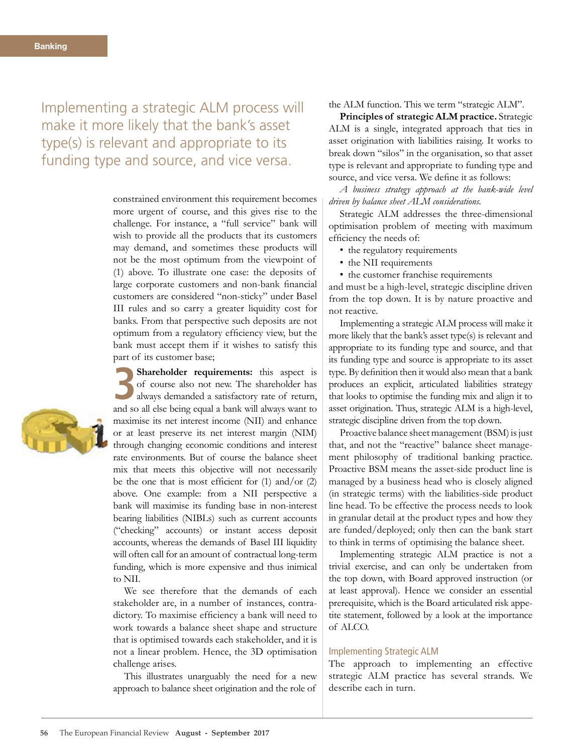Implementing a strategic ALM process will make it more likely that the bank's asset type(s) is relevant and appropriate to its funding type and source, and vice versa.

> constrained environment this requirement becomes more urgent of course, and this gives rise to the challenge. For instance, a "full service" bank will wish to provide all the products that its customers may demand, and sometimes these products will not be the most optimum from the viewpoint of (1) above. To illustrate one case: the deposits of large corporate customers and non-bank financial customers are considered "non-sticky" under Basel III rules and so carry a greater liquidity cost for banks. From that perspective such deposits are not optimum from a regulatory efficiency view, but the bank must accept them if it wishes to satisfy this part of its customer base;

> **3**<br>**3** and so all else being equal a bank will always want to all else being equal a bank will always want to **Shareholder requirements:** this aspect is of course also not new. The shareholder has always demanded a satisfactory rate of return, maximise its net interest income (NII) and enhance or at least preserve its net interest margin (NIM) through changing economic conditions and interest rate environments. But of course the balance sheet mix that meets this objective will not necessarily be the one that is most efficient for  $(1)$  and/or  $(2)$ above. One example: from a NII perspective a bank will maximise its funding base in non-interest bearing liabilities (NIBLs) such as current accounts ("checking" accounts) or instant access deposit accounts, whereas the demands of Basel III liquidity will often call for an amount of contractual long-term funding, which is more expensive and thus inimical to NII.

> We see therefore that the demands of each stakeholder are, in a number of instances, contradictory. To maximise efficiency a bank will need to work towards a balance sheet shape and structure that is optimised towards each stakeholder, and it is not a linear problem. Hence, the 3D optimisation challenge arises.

> This illustrates unarguably the need for a new approach to balance sheet origination and the role of

the ALM function. This we term "strategic ALM".

**Principles of strategic ALM practice.** Strategic ALM is a single, integrated approach that ties in asset origination with liabilities raising. It works to break down "silos" in the organisation, so that asset type is relevant and appropriate to funding type and source, and vice versa. We define it as follows:

*A business strategy approach at the bank-wide level driven by balance sheet ALM considerations.*

Strategic ALM addresses the three-dimensional optimisation problem of meeting with maximum efficiency the needs of:

• the regulatory requirements

• the NII requirements

• the customer franchise requirements

and must be a high-level, strategic discipline driven from the top down. It is by nature proactive and not reactive.

Implementing a strategic ALM process will make it more likely that the bank's asset type(s) is relevant and appropriate to its funding type and source, and that its funding type and source is appropriate to its asset type. By definition then it would also mean that a bank produces an explicit, articulated liabilities strategy that looks to optimise the funding mix and align it to asset origination. Thus, strategic ALM is a high-level, strategic discipline driven from the top down.

Proactive balance sheet management (BSM) is just that, and not the "reactive" balance sheet management philosophy of traditional banking practice. Proactive BSM means the asset-side product line is managed by a business head who is closely aligned (in strategic terms) with the liabilities-side product line head. To be effective the process needs to look in granular detail at the product types and how they are funded/deployed; only then can the bank start to think in terms of optimising the balance sheet.

Implementing strategic ALM practice is not a trivial exercise, and can only be undertaken from the top down, with Board approved instruction (or at least approval). Hence we consider an essential prerequisite, which is the Board articulated risk appetite statement, followed by a look at the importance of ALCO.

# Implementing Strategic ALM

The approach to implementing an effective strategic ALM practice has several strands. We describe each in turn.

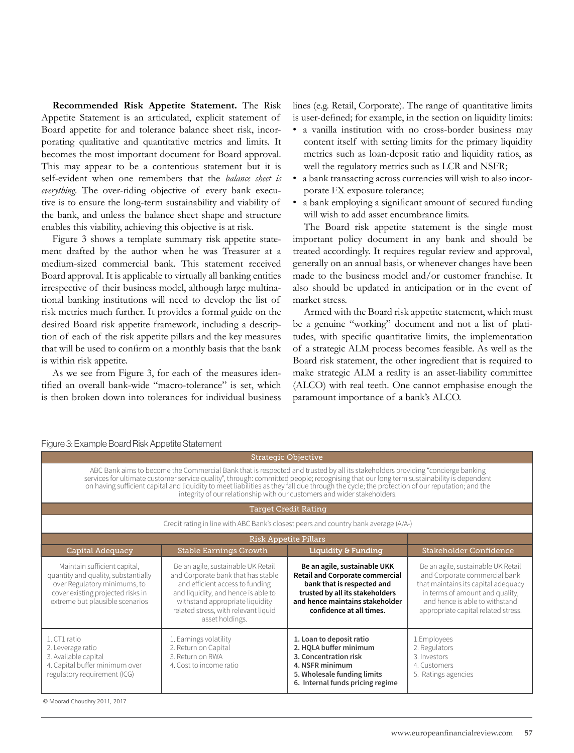**Recommended Risk Appetite Statement.** The Risk Appetite Statement is an articulated, explicit statement of Board appetite for and tolerance balance sheet risk, incorporating qualitative and quantitative metrics and limits. It becomes the most important document for Board approval. This may appear to be a contentious statement but it is self-evident when one remembers that the *balance sheet is everything.* The over-riding objective of every bank executive is to ensure the long-term sustainability and viability of the bank, and unless the balance sheet shape and structure enables this viability, achieving this objective is at risk.

Figure 3 shows a template summary risk appetite statement drafted by the author when he was Treasurer at a medium-sized commercial bank. This statement received Board approval. It is applicable to virtually all banking entities irrespective of their business model, although large multinational banking institutions will need to develop the list of risk metrics much further. It provides a formal guide on the desired Board risk appetite framework, including a description of each of the risk appetite pillars and the key measures that will be used to confirm on a monthly basis that the bank is within risk appetite.

As we see from Figure 3, for each of the measures identified an overall bank-wide "macro-tolerance" is set, which is then broken down into tolerances for individual business lines (e.g. Retail, Corporate). The range of quantitative limits is user-defined; for example, in the section on liquidity limits:

- a vanilla institution with no cross-border business may content itself with setting limits for the primary liquidity metrics such as loan-deposit ratio and liquidity ratios, as well the regulatory metrics such as LCR and NSFR;
- a bank transacting across currencies will wish to also incorporate FX exposure tolerance;
- a bank employing a significant amount of secured funding will wish to add asset encumbrance limits.

The Board risk appetite statement is the single most important policy document in any bank and should be treated accordingly. It requires regular review and approval, generally on an annual basis, or whenever changes have been made to the business model and/or customer franchise. It also should be updated in anticipation or in the event of market stress.

Armed with the Board risk appetite statement, which must be a genuine "working" document and not a list of platitudes, with specific quantitative limits, the implementation of a strategic ALM process becomes feasible. As well as the Board risk statement, the other ingredient that is required to make strategic ALM a reality is an asset-liability committee (ALCO) with real teeth. One cannot emphasise enough the paramount importance of a bank's ALCO.

| <b>Strategic Objective</b>                                                                                                                                                                                                                                                                                                                                                                                                                      |                                                                                                                                                                                                                                                  |                                                                                                                                                                                                        |                                                                                                                                                                                                                        |  |
|-------------------------------------------------------------------------------------------------------------------------------------------------------------------------------------------------------------------------------------------------------------------------------------------------------------------------------------------------------------------------------------------------------------------------------------------------|--------------------------------------------------------------------------------------------------------------------------------------------------------------------------------------------------------------------------------------------------|--------------------------------------------------------------------------------------------------------------------------------------------------------------------------------------------------------|------------------------------------------------------------------------------------------------------------------------------------------------------------------------------------------------------------------------|--|
| ABC Bank aims to become the Commercial Bank that is respected and trusted by all its stakeholders providing "concierge banking<br>services for ultimate customer service quality", through: committed people; recognising that our long term sustainability is dependent<br>on having sufficient capital and liquidity to meet liabilities as they fall due through<br>integrity of our relationship with our customers and wider stakeholders. |                                                                                                                                                                                                                                                  |                                                                                                                                                                                                        |                                                                                                                                                                                                                        |  |
| <b>Target Credit Rating</b>                                                                                                                                                                                                                                                                                                                                                                                                                     |                                                                                                                                                                                                                                                  |                                                                                                                                                                                                        |                                                                                                                                                                                                                        |  |
| Credit rating in line with ABC Bank's closest peers and country bank average (A/A-)                                                                                                                                                                                                                                                                                                                                                             |                                                                                                                                                                                                                                                  |                                                                                                                                                                                                        |                                                                                                                                                                                                                        |  |
| <b>Risk Appetite Pillars</b>                                                                                                                                                                                                                                                                                                                                                                                                                    |                                                                                                                                                                                                                                                  |                                                                                                                                                                                                        |                                                                                                                                                                                                                        |  |
| Capital Adequacy                                                                                                                                                                                                                                                                                                                                                                                                                                | <b>Stable Earnings Growth</b>                                                                                                                                                                                                                    | Liquidity & Funding                                                                                                                                                                                    | Stakeholder Confidence                                                                                                                                                                                                 |  |
| Maintain sufficient capital,<br>quantity and quality, substantially<br>over Regulatory minimums, to<br>cover existing projected risks in<br>extreme but plausible scenarios                                                                                                                                                                                                                                                                     | Be an agile, sustainable UK Retail<br>and Corporate bank that has stable<br>and efficient access to funding<br>and liquidity, and hence is able to<br>withstand appropriate liquidity<br>related stress, with relevant liquid<br>asset holdings. | Be an agile, sustainable UKK<br><b>Retail and Corporate commercial</b><br>bank that is respected and<br>trusted by all its stakeholders<br>and hence maintains stakeholder<br>confidence at all times. | Be an agile, sustainable UK Retail<br>and Corporate commercial bank<br>that maintains its capital adequacy<br>in terms of amount and quality,<br>and hence is able to withstand<br>appropriate capital related stress. |  |
| 1. CT1 ratio<br>2. Leverage ratio<br>3. Available capital<br>4. Capital buffer minimum over<br>regulatory requirement (ICG)                                                                                                                                                                                                                                                                                                                     | 1. Earnings volatility<br>2. Return on Capital<br>3. Return on RWA<br>4. Cost to income ratio                                                                                                                                                    | 1. Loan to deposit ratio<br>2. HQLA buffer minimum<br>3. Concentration risk<br>4. NSFR minimum<br>5. Wholesale funding limits<br>6. Internal funds pricing regime                                      | 1.Employees<br>2. Regulators<br>3. Investors<br>4. Customers<br>5. Ratings agencies                                                                                                                                    |  |
| © Moorad Choudhry 2011, 2017                                                                                                                                                                                                                                                                                                                                                                                                                    |                                                                                                                                                                                                                                                  |                                                                                                                                                                                                        |                                                                                                                                                                                                                        |  |

#### Figure 3: Example Board Risk Appetite Statement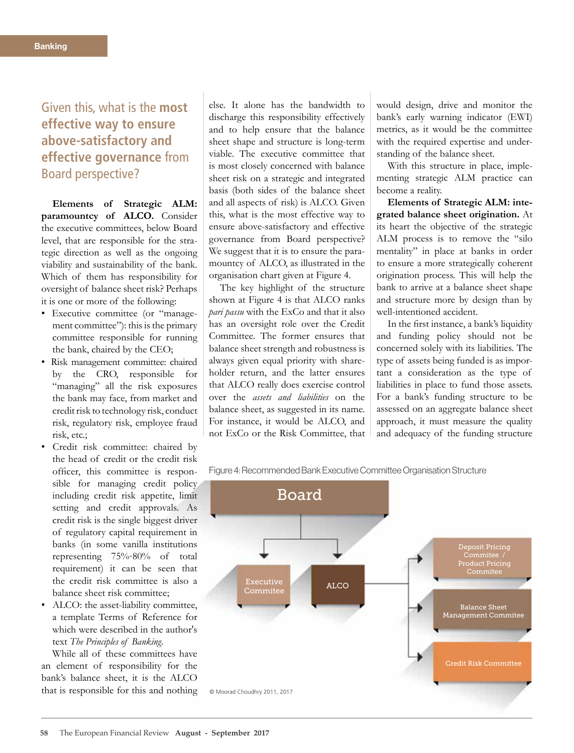# Given this, what is the **most effective way to ensure above-satisfactory and effective governance** from Board perspective?

**Elements of Strategic ALM: paramountcy of ALCO.** Consider the executive committees, below Board level, that are responsible for the strategic direction as well as the ongoing viability and sustainability of the bank. Which of them has responsibility for oversight of balance sheet risk? Perhaps it is one or more of the following:

- Executive committee (or "management committee"): this is the primary committee responsible for running the bank, chaired by the CEO;
- Risk management committee: chaired by the CRO, responsible for "managing" all the risk exposures the bank may face, from market and credit risk to technology risk, conduct risk, regulatory risk, employee fraud risk, etc.;
- Credit risk committee: chaired by the head of credit or the credit risk officer, this committee is responsible for managing credit policy including credit risk appetite, limit setting and credit approvals. As credit risk is the single biggest driver of regulatory capital requirement in banks (in some vanilla institutions representing 75%-80% of total requirement) it can be seen that the credit risk committee is also a balance sheet risk committee;
- ALCO: the asset-liability committee, a template Terms of Reference for which were described in the author's text *The Principles of Banking*.

While all of these committees have an element of responsibility for the bank's balance sheet, it is the ALCO that is responsible for this and nothing else. It alone has the bandwidth to discharge this responsibility effectively and to help ensure that the balance sheet shape and structure is long-term viable. The executive committee that is most closely concerned with balance sheet risk on a strategic and integrated basis (both sides of the balance sheet and all aspects of risk) is ALCO. Given this, what is the most effective way to ensure above-satisfactory and effective governance from Board perspective? We suggest that it is to ensure the paramountcy of ALCO, as illustrated in the organisation chart given at Figure 4.

The key highlight of the structure shown at Figure 4 is that ALCO ranks *pari passu* with the ExCo and that it also has an oversight role over the Credit Committee. The former ensures that balance sheet strength and robustness is always given equal priority with shareholder return, and the latter ensures that ALCO really does exercise control over the *assets and liabilities* on the balance sheet, as suggested in its name. For instance, it would be ALCO, and not ExCo or the Risk Committee, that

would design, drive and monitor the bank's early warning indicator (EWI) metrics, as it would be the committee with the required expertise and understanding of the balance sheet.

With this structure in place, implementing strategic ALM practice can become a reality.

**Elements of Strategic ALM: integrated balance sheet origination.** At its heart the objective of the strategic ALM process is to remove the "silo mentality" in place at banks in order to ensure a more strategically coherent origination process. This will help the bank to arrive at a balance sheet shape and structure more by design than by well-intentioned accident.

In the first instance, a bank's liquidity and funding policy should not be concerned solely with its liabilities. The type of assets being funded is as important a consideration as the type of liabilities in place to fund those assets. For a bank's funding structure to be assessed on an aggregate balance sheet approach, it must measure the quality and adequacy of the funding structure

Figure 4: Recommended Bank Executive Committee Organisation Structure

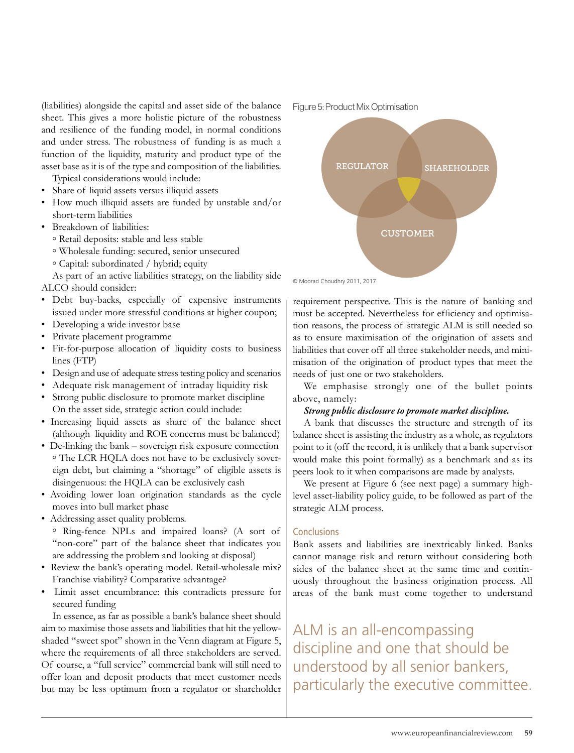(liabilities) alongside the capital and asset side of the balance sheet. This gives a more holistic picture of the robustness and resilience of the funding model, in normal conditions and under stress. The robustness of funding is as much a function of the liquidity, maturity and product type of the asset base as it is of the type and composition of the liabilities.

Typical considerations would include:

- Share of liquid assets versus illiquid assets
- How much illiquid assets are funded by unstable and/or short-term liabilities
- Breakdown of liabilities:
	- ° Retail deposits: stable and less stable
	- ° Wholesale funding: secured, senior unsecured
	- ° Capital: subordinated / hybrid; equity

As part of an active liabilities strategy, on the liability side ALCO should consider:

- Debt buy-backs, especially of expensive instruments issued under more stressful conditions at higher coupon;
- Developing a wide investor base
- Private placement programme
- Fit-for-purpose allocation of liquidity costs to business lines (FTP)
- Design and use of adequate stress testing policy and scenarios
- Adequate risk management of intraday liquidity risk
- Strong public disclosure to promote market discipline On the asset side, strategic action could include:
- Increasing liquid assets as share of the balance sheet (although liquidity and ROE concerns must be balanced)
- De-linking the bank sovereign risk exposure connection ° The LCR HQLA does not have to be exclusively sovereign debt, but claiming a "shortage" of eligible assets is disingenuous: the HQLA can be exclusively cash
- Avoiding lower loan origination standards as the cycle moves into bull market phase
- Addressing asset quality problems.

° Ring-fence NPLs and impaired loans? (A sort of "non-core" part of the balance sheet that indicates you are addressing the problem and looking at disposal)

- Review the bank's operating model. Retail-wholesale mix? Franchise viability? Comparative advantage?
- Limit asset encumbrance: this contradicts pressure for secured funding

In essence, as far as possible a bank's balance sheet should aim to maximise those assets and liabilities that hit the yellowshaded "sweet spot" shown in the Venn diagram at Figure 5, where the requirements of all three stakeholders are served. Of course, a "full service" commercial bank will still need to offer loan and deposit products that meet customer needs but may be less optimum from a regulator or shareholder





requirement perspective. This is the nature of banking and must be accepted. Nevertheless for efficiency and optimisation reasons, the process of strategic ALM is still needed so as to ensure maximisation of the origination of assets and liabilities that cover off all three stakeholder needs, and minimisation of the origination of product types that meet the needs of just one or two stakeholders.

We emphasise strongly one of the bullet points above, namely:

## *Strong public disclosure to promote market discipline.*

A bank that discusses the structure and strength of its balance sheet is assisting the industry as a whole, as regulators point to it (off the record, it is unlikely that a bank supervisor would make this point formally) as a benchmark and as its peers look to it when comparisons are made by analysts.

We present at Figure 6 (see next page) a summary highlevel asset-liability policy guide, to be followed as part of the strategic ALM process.

## **Conclusions**

Bank assets and liabilities are inextricably linked. Banks cannot manage risk and return without considering both sides of the balance sheet at the same time and continuously throughout the business origination process. All areas of the bank must come together to understand

ALM is an all-encompassing discipline and one that should be understood by all senior bankers, particularly the executive committee.